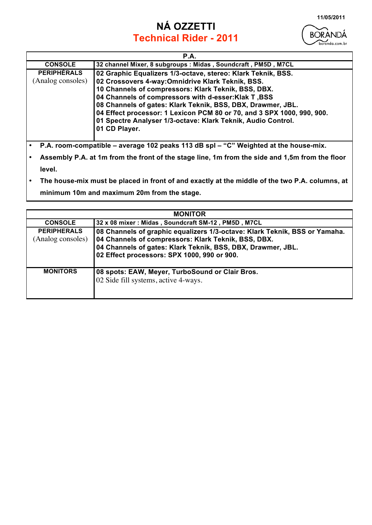## **NÁ OZZETTI Technical Rider - 2011**



| <b>P.A.</b>        |                                                                        |  |  |  |  |
|--------------------|------------------------------------------------------------------------|--|--|--|--|
| <b>CONSOLE</b>     | 32 channel Mixer, 8 subgroups : Midas, Soundcraft, PM5D, M7CL          |  |  |  |  |
| <b>PERIPHÉRALS</b> | 02 Graphic Equalizers 1/3-octave, stereo: Klark Teknik, BSS.           |  |  |  |  |
| (Analog consoles)  | 02 Crossovers 4-way: Omnidrive Klark Teknik, BSS.                      |  |  |  |  |
|                    | 10 Channels of compressors: Klark Teknik, BSS, DBX.                    |  |  |  |  |
|                    | 04 Channels of compressors with d-esser: Klak T, BSS                   |  |  |  |  |
|                    | 08 Channels of gates: Klark Teknik, BSS, DBX, Drawmer, JBL.            |  |  |  |  |
|                    | 04 Effect processor: 1 Lexicon PCM 80 or 70, and 3 SPX 1000, 990, 900. |  |  |  |  |
|                    | 01 Spectre Analyser 1/3-octave: Klark Teknik, Audio Control.           |  |  |  |  |
|                    | 01 CD Player.                                                          |  |  |  |  |
|                    |                                                                        |  |  |  |  |

- **P.A. room-compatible average 102 peaks 113 dB spl "C" Weighted at the house-mix.**
- **Assembly P.A. at 1m from the front of the stage line, 1m from the side and 1,5m from the floor level.**
- **The house-mix must be placed in front of and exactly at the middle of the two P.A. columns, at minimum 10m and maximum 20m from the stage.**

| <b>MONITOR</b>                          |                                                                                                                                                                                                                                                 |  |  |  |
|-----------------------------------------|-------------------------------------------------------------------------------------------------------------------------------------------------------------------------------------------------------------------------------------------------|--|--|--|
| <b>CONSOLE</b>                          | 32 x 08 mixer: Midas, Soundcraft SM-12, PM5D, M7CL                                                                                                                                                                                              |  |  |  |
| <b>PERIPHERALS</b><br>(Analog consoles) | 08 Channels of graphic equalizers 1/3-octave: Klark Teknik, BSS or Yamaha.<br>04 Channels of compressors: Klark Teknik, BSS, DBX.<br>04 Channels of gates: Klark Teknik, BSS, DBX, Drawmer, JBL.<br>02 Effect processors: SPX 1000, 990 or 900. |  |  |  |
| <b>MONITORS</b>                         | 08 spots: EAW, Meyer, TurboSound or Clair Bros.<br>02 Side fill systems, active 4-ways.                                                                                                                                                         |  |  |  |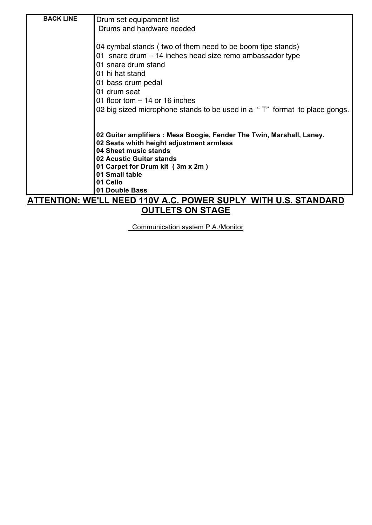| <b>BACK LINE</b><br>Drum set equipament list                              |
|---------------------------------------------------------------------------|
|                                                                           |
| Drums and hardware needed                                                 |
|                                                                           |
| 04 cymbal stands (two of them need to be boom tipe stands)                |
| 01 snare drum – 14 inches head size remo ambassador type                  |
| 01 snare drum stand                                                       |
| 01 hi hat stand                                                           |
| 01 bass drum pedal                                                        |
| 01 drum seat                                                              |
| 01 floor tom $-14$ or 16 inches                                           |
| 02 big sized microphone stands to be used in a "T" format to place gongs. |
|                                                                           |
| 02 Guitar amplifiers : Mesa Boogie, Fender The Twin, Marshall, Laney.     |
| 02 Seats whith height adjustment armless                                  |
| 04 Sheet music stands                                                     |
| 02 Acustic Guitar stands                                                  |
| 01 Carpet for Drum kit (3m x 2m)                                          |
| 01 Small table                                                            |
| 01 Cello<br>01 Double Bass                                                |
| ATTENTION: WE'LL NEED 440V A C DOWED SHDLY WITH HIS STANDADD              |

## **ATTENTION: WE'LL NEED 110V A.C. POWER SUPLY WITH U.S. STANDARD OUTLETS ON STAGE**

Communication system P.A./Monitor